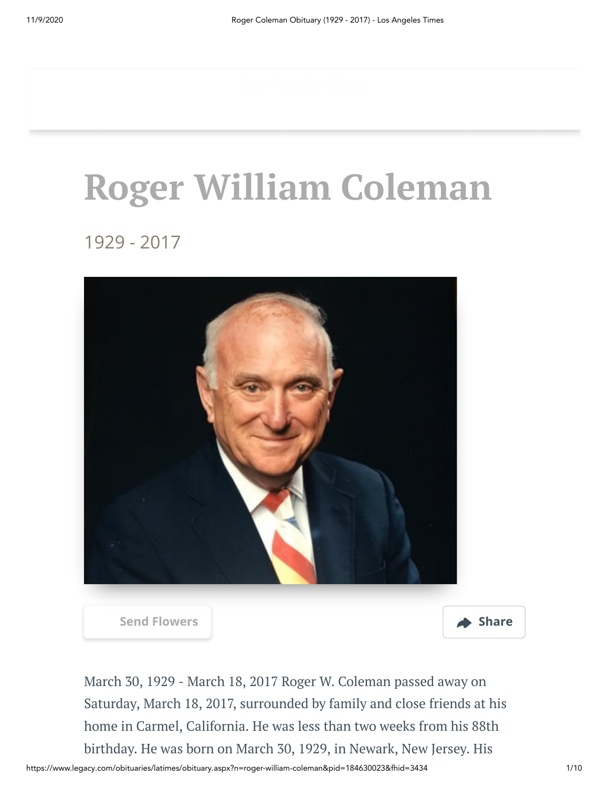# **Roger William Coleman**

1929 - 2017



**[Send Flowers](https://sympathy.legacy.com/en-us/funeral-flowers/name/roger-coleman-funeral-flowers/p184630023/?affiliateId=91&pm=205) Share** 



March 30, 1929 - March 18, 2017 Roger W. Coleman passed away on Saturday, March 18, 2017, surrounded by family and close friends at his home in Carmel, California. He was less than two weeks from his 88th birthday. He was born on March 30, 1929, in Newark, New Jersey. His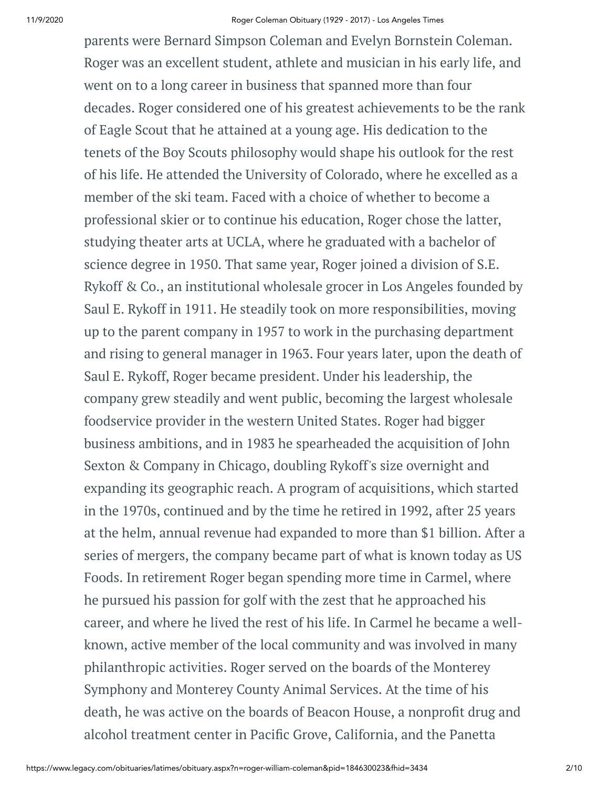parents were Bernard Simpson Coleman and Evelyn Bornstein Coleman. Roger was an excellent student, athlete and musician in his early life, and went on to a long career in business that spanned more than four decades. Roger considered one of his greatest achievements to be the rank of Eagle Scout that he attained at a young age. His dedication to the tenets of the Boy Scouts philosophy would shape his outlook for the rest of his life. He attended the University of Colorado, where he excelled as a member of the ski team. Faced with a choice of whether to become a professional skier or to continue his education, Roger chose the latter, studying theater arts at UCLA, where he graduated with a bachelor of science degree in 1950. That same year, Roger joined a division of S.E. Rykoff & Co., an institutional wholesale grocer in Los Angeles founded by Saul E. Rykoff in 1911. He steadily took on more responsibilities, moving up to the parent company in 1957 to work in the purchasing department and rising to general manager in 1963. Four years later, upon the death of Saul E. Rykoff, Roger became president. Under his leadership, the company grew steadily and went public, becoming the largest wholesale foodservice provider in the western United States. Roger had bigger business ambitions, and in 1983 he spearheaded the acquisition of John Sexton & Company in Chicago, doubling Rykoff's size overnight and expanding its geographic reach. A program of acquisitions, which started in the 1970s, continued and by the time he retired in 1992, after 25 years at the helm, annual revenue had expanded to more than \$1 billion. After a series of mergers, the company became part of what is known today as US Foods. In retirement Roger began spending more time in Carmel, where he pursued his passion for golf with the zest that he approached his career, and where he lived the rest of his life. In Carmel he became a wellknown, active member of the local community and was involved in many philanthropic activities. Roger served on the boards of the Monterey Symphony and Monterey County Animal Services. At the time of his death, he was active on the boards of Beacon House, a nonprofit drug and alcohol treatment center in Pacific Grove, California, and the Panetta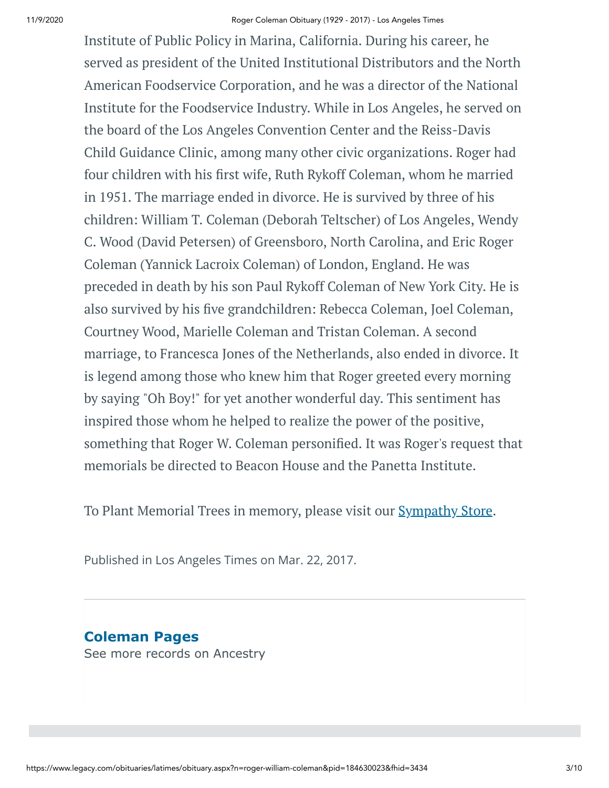Institute of Public Policy in Marina, California. During his career, he served as president of the United Institutional Distributors and the North American Foodservice Corporation, and he was a director of the National Institute for the Foodservice Industry. While in Los Angeles, he served on the board of the Los Angeles Convention Center and the Reiss-Davis Child Guidance Clinic, among many other civic organizations. Roger had four children with his first wife, Ruth Rykoff Coleman, whom he married in 1951. The marriage ended in divorce. He is survived by three of his children: William T. Coleman (Deborah Teltscher) of Los Angeles, Wendy C. Wood (David Petersen) of Greensboro, North Carolina, and Eric Roger Coleman (Yannick Lacroix Coleman) of London, England. He was preceded in death by his son Paul Rykoff Coleman of New York City. He is also survived by his five grandchildren: Rebecca Coleman, Joel Coleman, Courtney Wood, Marielle Coleman and Tristan Coleman. A second marriage, to Francesca Jones of the Netherlands, also ended in divorce. It is legend among those who knew him that Roger greeted every morning by saying "Oh Boy!" for yet another wonderful day. This sentiment has inspired those whom he helped to realize the power of the positive, something that Roger W. Coleman personified. It was Roger's request that memorials be directed to Beacon House and the Panetta Institute.

To Plant Memorial Trees in memory, please visit our **[Sympathy](https://sympathy.legacy.com/en-us/funeral-flowers/name/roger-coleman-funeral-flowers/p184630023/?affiliateId=91&pm=240) Store**.

Published in Los Angeles Times on Mar. 22, 2017.

**Coleman Pages** [See more records on Ancestry](https://adclick.g.doubleclick.net/pcs/click?xai=AKAOjst-Hr9tsCq6cPgsoltLOg0CTb_5caDiE2PlJ1FbpuuQ6mgdttDOAqOwYGnvK9Jgj-NE5WPP_HSUMvY-lSRDOvuTTWXj397_OW7jS40n_3A1e8_Mf1KHD8Z0dS6WGUfy2SHjFq21qzn7e_s21VYPifxrJkWC0GHaeqvl5XaaAWS4WhEZtZIEgeAX3ayI5Z28GpZ614Tm-edKQVhWwf5ugaMAxJeYBqV6mzZt_AP9WwiZjsfC4Tee0ZYTRy7pYKTwsGrmin6GN_NI4o6AbqxcIIF8sVqpx2iYknO-pUxeSC9KQh4T_qF4uw&sig=Cg0ArKJSzK7zqSIB9uOeEAE&urlfix=1&adurl=https://prf.hn/click/camref:1101l3yjc/adref:77841/destination:https://www.ancestry.com/cs/partner-records%3FflowId%3DpartnersBirth%26gsfn%3DRoger%26gsln%3DColeman)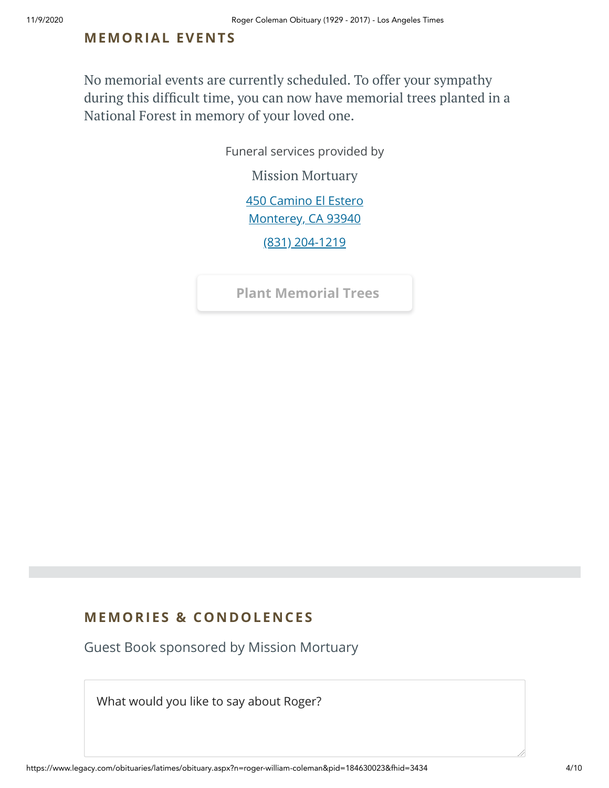## **MEMORIAL EVENTS**

No memorial events are currently scheduled. To offer your sympathy during this difficult time, you can now have memorial trees planted in a National Forest in memory of your loved one.

Funeral services provided by

Mission [Mortuary](https://missionmortuary.com/?utm_campaign=legacytraffic&utm_source=legacy&utm_medium=referral)

[450 Camino El Estero](https://maps.google.com/?q=450%20Camino%20El%20Estero%20Monterey,%20CA%2093940) Monterey, CA 93940

[\(831\) 204-1219](tel:8312041219)

**[Plant Memorial Trees](https://sympathy.legacy.com/en-us/funeral-flowers/name/roger-coleman-funeral-flowers/p184630023/?affiliateId=91&pm=271)**

# **MEMORIES & CO N DOLE N CES**

Guest Book sponsored by Mission Mortuary

What would you like to say about Roger?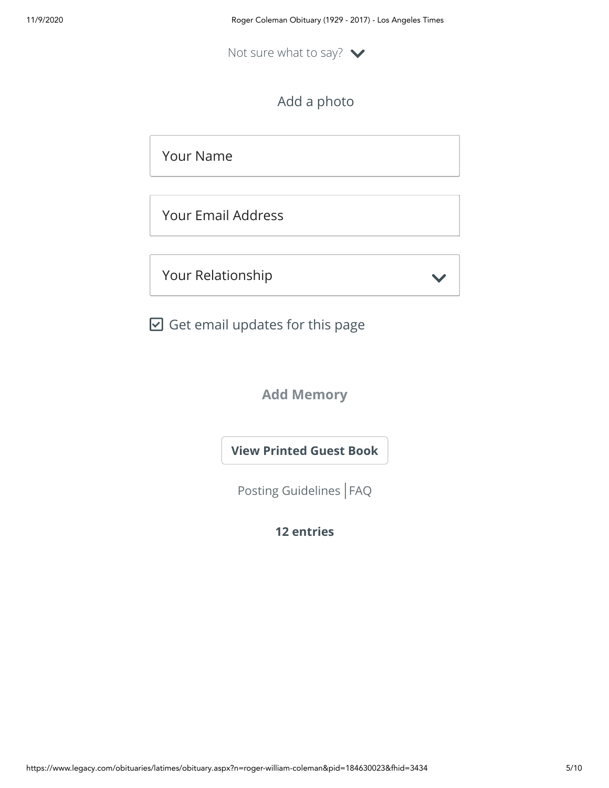Not sure what to say?  $\blacktriangleright$ 

Add a photo

Your Name

Your Email Address

Your Relationship

 $\boxdot$  Get email updates for this page

**Add Memory**

**[View Printed Guest Book](https://sympathy.legacy.com/en-us/printed-obituary-guestbook/gallery/?type=obituary&p=184630023&pn=roger-coleman&affiliateId=91&pm=69)**

[Posting Guidelines](https://www.legacy.com/guestbooks/posting-guidelines.aspx?n=Roger-Coleman&pid=184630023) | [FAQ](https://www.legacy.com/guestbooks/faq.aspx?n=Roger-Coleman&pid=184630023)

**12 entries**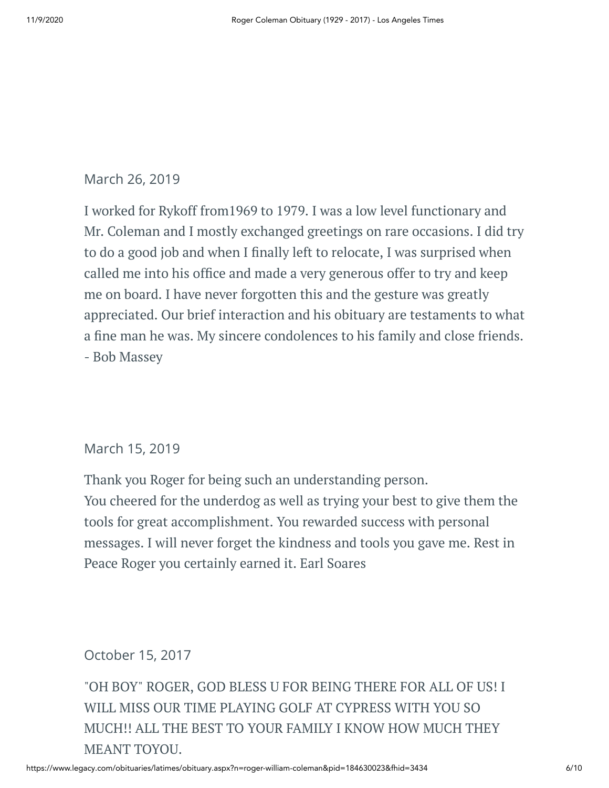# March 26, 2019

I worked for Rykoff from1969 to 1979. I was a low level functionary and Mr. Coleman and I mostly exchanged greetings on rare occasions. I did try to do a good job and when I finally left to relocate, I was surprised when called me into his office and made a very generous offer to try and keep me on board. I have never forgotten this and the gesture was greatly appreciated. Our brief interaction and his obituary are testaments to what a fine man he was. My sincere condolences to his family and close friends. - Bob Massey

# March 15, 2019

Thank you Roger for being such an understanding person. You cheered for the underdog as well as trying your best to give them the tools for great accomplishment. You rewarded success with personal messages. I will never forget the kindness and tools you gave me. Rest in Peace Roger you certainly earned it. Earl Soares

# October 15, 2017

"OH BOY" ROGER, GOD BLESS U FOR BEING THERE FOR ALL OF US! I WILL MISS OUR TIME PLAYING GOLF AT CYPRESS WITH YOU SO MUCH!! ALL THE BEST TO YOUR FAMILY I KNOW HOW MUCH THEY MEANT TOYOU.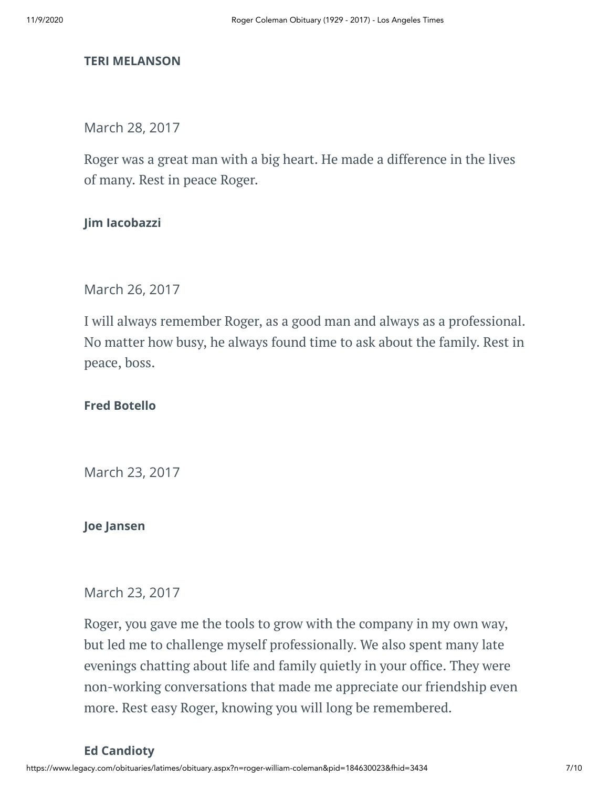#### **TERI MELANSON**

March 28, 2017

Roger was a great man with a big heart. He made a difference in the lives of many. Rest in peace Roger.

#### **Jim Iacobazzi**

March 26, 2017

I will always remember Roger, as a good man and always as a professional. No matter how busy, he always found time to ask about the family. Rest in peace, boss.

#### **Fred Botello**

March 23, 2017

#### **Joe Jansen**

#### March 23, 2017

Roger, you gave me the tools to grow with the company in my own way, but led me to challenge myself professionally. We also spent many late evenings chatting about life and family quietly in your office. They were non-working conversations that made me appreciate our friendship even more. Rest easy Roger, knowing you will long be remembered.

#### **Ed Candioty**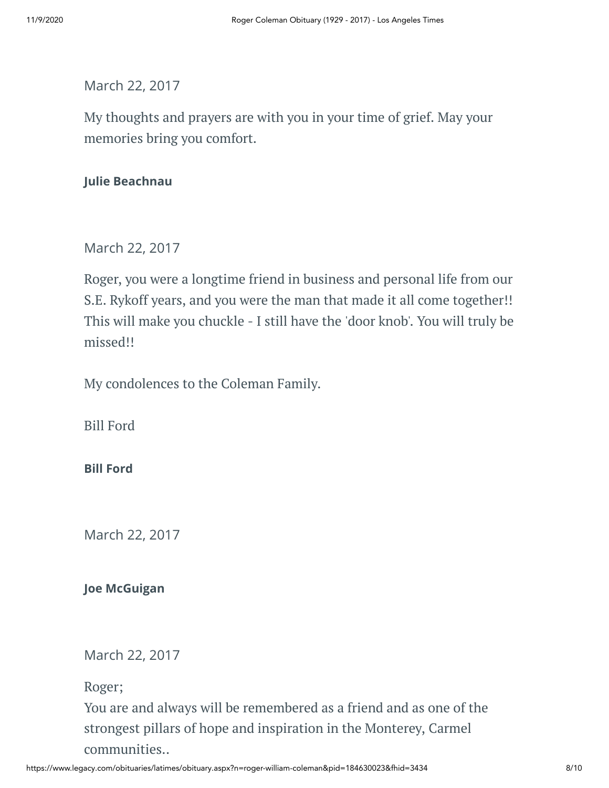March 22, 2017

My thoughts and prayers are with you in your time of grief. May your memories bring you comfort.

## **Julie Beachnau**

# March 22, 2017

Roger, you were a longtime friend in business and personal life from our S.E. Rykoff years, and you were the man that made it all come together!! This will make you chuckle - I still have the 'door knob'. You will truly be missed!!

My condolences to the Coleman Family.

Bill Ford

#### **Bill Ford**

March 22, 2017

**Joe McGuigan**

March 22, 2017

Roger;

You are and always will be remembered as a friend and as one of the strongest pillars of hope and inspiration in the Monterey, Carmel communities..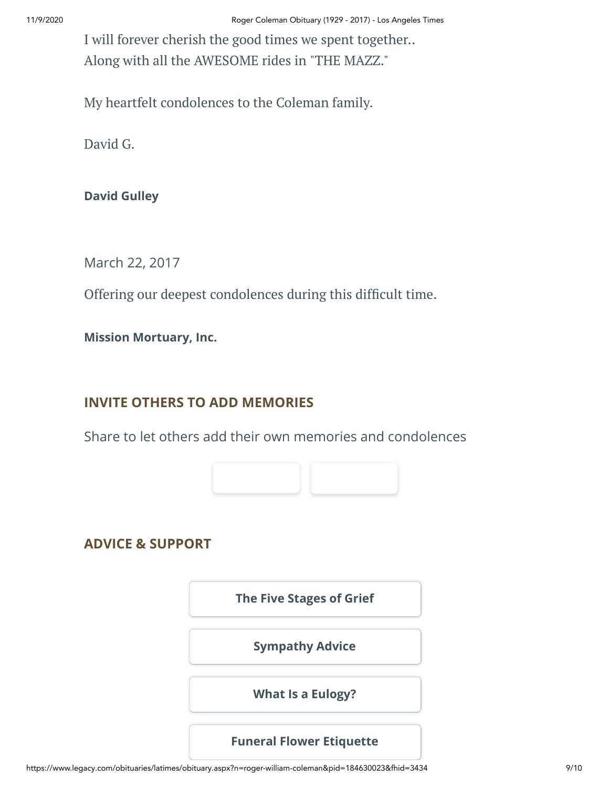I will forever cherish the good times we spent together.. Along with all the AWESOME rides in "THE MAZZ."

My heartfelt condolences to the Coleman family.

David G.

**David Gulley**

March 22, 2017

Offering our deepest condolences during this difficult time.

**Mission Mortuary, Inc.**

# **INVITE OTHERS TO ADD MEMORIES**

Share to let others add their own memories and condolences



**ADVICE & SUPPORT**

**[The Five Stages of Grief](https://www.legacy.com/news/advice-and-support/article/the-five-stages-of-grief)**

**[Sympathy Advice](https://www.legacy.com/news/advice-and-support/article/sympathy-and-condolence-advice)**

**[What Is a Eulogy?](https://www.legacy.com/news/advice-and-support/article/what-is-a-eulogy)**

# **[Funeral Flower Etiquette](https://sympathy.legacy.com//en-us/funeral-flowers/article/funeral-flower-etiquette/)**